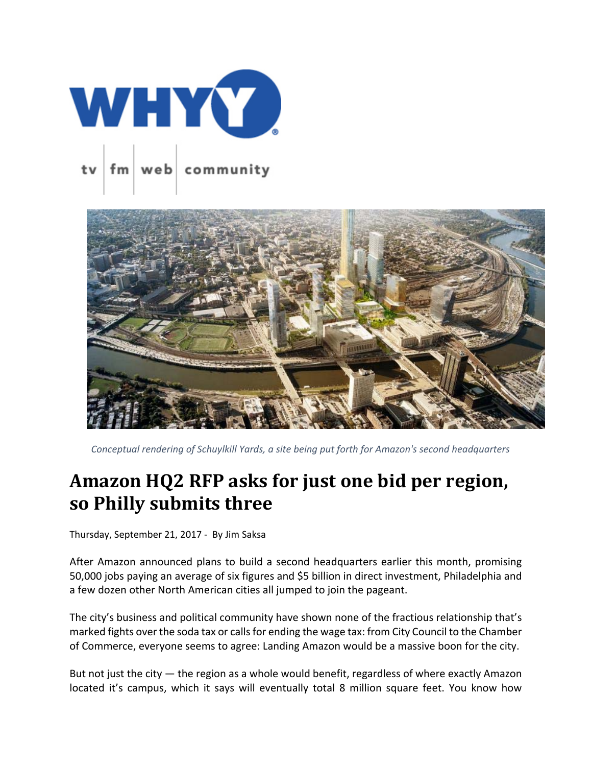



 *Conceptual rendering of Schuylkill Yards, a site being put forth for Amazon's second headquarters*

## **Amazon HQ2 RFP asks for just one bid per region, so Philly submits three**

Thursday, September 21, 2017 ‐ By Jim Saksa

After Amazon announced plans to build a second headquarters earlier this month, promising 50,000 jobs paying an average of six figures and \$5 billion in direct investment, Philadelphia and a few dozen other North American cities all jumped to join the pageant.

The city's business and political community have shown none of the fractious relationship that's marked fights over the soda tax or callsfor ending the wage tax: from City Council to the Chamber of Commerce, everyone seems to agree: Landing Amazon would be a massive boon for the city.

But not just the city — the region as a whole would benefit, regardless of where exactly Amazon located it's campus, which it says will eventually total 8 million square feet. You know how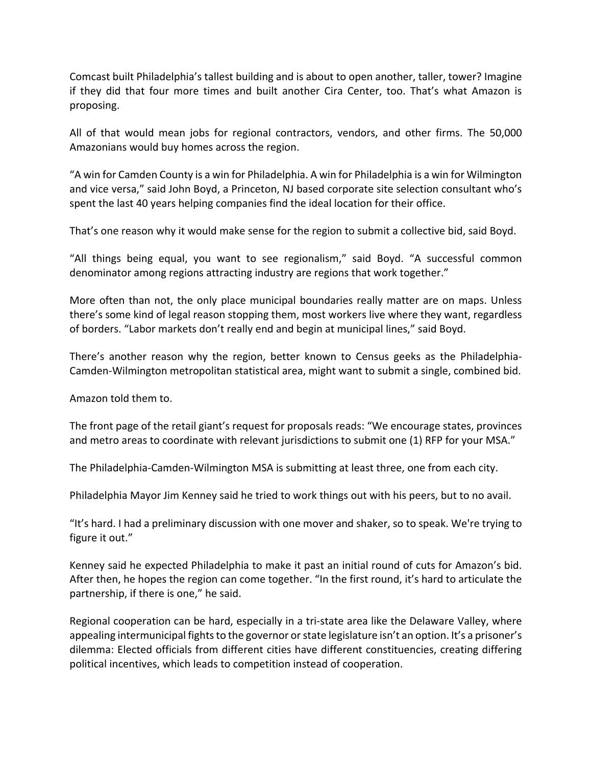Comcast built Philadelphia's tallest building and is about to open another, taller, tower? Imagine if they did that four more times and built another Cira Center, too. That's what Amazon is proposing.

All of that would mean jobs for regional contractors, vendors, and other firms. The 50,000 Amazonians would buy homes across the region.

"A win for Camden County is a win for Philadelphia. A win for Philadelphia is a win for Wilmington and vice versa," said John Boyd, a Princeton, NJ based corporate site selection consultant who's spent the last 40 years helping companies find the ideal location for their office.

That's one reason why it would make sense for the region to submit a collective bid, said Boyd.

"All things being equal, you want to see regionalism," said Boyd. "A successful common denominator among regions attracting industry are regions that work together."

More often than not, the only place municipal boundaries really matter are on maps. Unless there's some kind of legal reason stopping them, most workers live where they want, regardless of borders. "Labor markets don't really end and begin at municipal lines," said Boyd.

There's another reason why the region, better known to Census geeks as the Philadelphia‐ Camden‐Wilmington metropolitan statistical area, might want to submit a single, combined bid.

Amazon told them to.

The front page of the retail giant's request for proposals reads: "We encourage states, provinces and metro areas to coordinate with relevant jurisdictions to submit one (1) RFP for your MSA."

The Philadelphia‐Camden‐Wilmington MSA is submitting at least three, one from each city.

Philadelphia Mayor Jim Kenney said he tried to work things out with his peers, but to no avail.

"It's hard. I had a preliminary discussion with one mover and shaker, so to speak. We're trying to figure it out."

Kenney said he expected Philadelphia to make it past an initial round of cuts for Amazon's bid. After then, he hopes the region can come together. "In the first round, it's hard to articulate the partnership, if there is one," he said.

Regional cooperation can be hard, especially in a tri‐state area like the Delaware Valley, where appealing intermunicipal fights to the governor or state legislature isn't an option. It's a prisoner's dilemma: Elected officials from different cities have different constituencies, creating differing political incentives, which leads to competition instead of cooperation.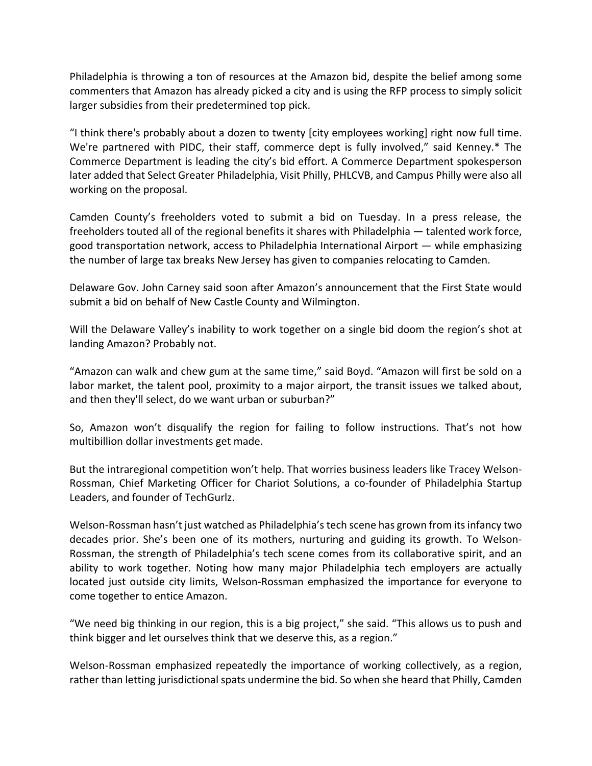Philadelphia is throwing a ton of resources at the Amazon bid, despite the belief among some commenters that Amazon has already picked a city and is using the RFP process to simply solicit larger subsidies from their predetermined top pick.

"I think there's probably about a dozen to twenty [city employees working] right now full time. We're partnered with PIDC, their staff, commerce dept is fully involved," said Kenney.\* The Commerce Department is leading the city's bid effort. A Commerce Department spokesperson later added that Select Greater Philadelphia, Visit Philly, PHLCVB, and Campus Philly were also all working on the proposal.

Camden County's freeholders voted to submit a bid on Tuesday. In a press release, the freeholders touted all of the regional benefits it shares with Philadelphia — talented work force, good transportation network, access to Philadelphia International Airport — while emphasizing the number of large tax breaks New Jersey has given to companies relocating to Camden.

Delaware Gov. John Carney said soon after Amazon's announcement that the First State would submit a bid on behalf of New Castle County and Wilmington.

Will the Delaware Valley's inability to work together on a single bid doom the region's shot at landing Amazon? Probably not.

"Amazon can walk and chew gum at the same time," said Boyd. "Amazon will first be sold on a labor market, the talent pool, proximity to a major airport, the transit issues we talked about, and then they'll select, do we want urban or suburban?"

So, Amazon won't disqualify the region for failing to follow instructions. That's not how multibillion dollar investments get made.

But the intraregional competition won't help. That worries business leaders like Tracey Welson‐ Rossman, Chief Marketing Officer for Chariot Solutions, a co-founder of Philadelphia Startup Leaders, and founder of TechGurlz.

Welson-Rossman hasn't just watched as Philadelphia's tech scene has grown from its infancy two decades prior. She's been one of its mothers, nurturing and guiding its growth. To Welson‐ Rossman, the strength of Philadelphia's tech scene comes from its collaborative spirit, and an ability to work together. Noting how many major Philadelphia tech employers are actually located just outside city limits, Welson‐Rossman emphasized the importance for everyone to come together to entice Amazon.

"We need big thinking in our region, this is a big project," she said. "This allows us to push and think bigger and let ourselves think that we deserve this, as a region."

Welson-Rossman emphasized repeatedly the importance of working collectively, as a region, rather than letting jurisdictional spats undermine the bid. So when she heard that Philly, Camden